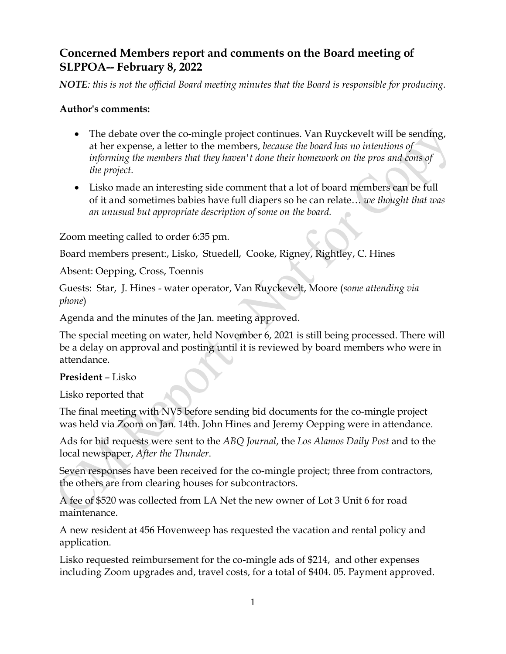# **Concerned Members report and comments on the Board meeting of SLPPOA-- February 8, 2022**

*NOTE: this is not the official Board meeting minutes that the Board is responsible for producing.*

#### **Author's comments:**

- The debate over the co-mingle project continues. Van Ruyckevelt will be sending, at her expense, a letter to the members, *because the board has no intentions of informing the members that they haven't done their homework on the pros and cons of the project.*
- Lisko made an interesting side comment that a lot of board members can be full of it and sometimes babies have full diapers so he can relate… *we thought that was an unusual but appropriate description of some on the board.*

Zoom meeting called to order 6:35 pm.

Board members present:, Lisko, Stuedell, Cooke, Rigney, Rightley, C. Hines

Absent: Oepping, Cross, Toennis

Guests: Star, J. Hines - water operator, Van Ruyckevelt, Moore (*some attending via phone*)

Agenda and the minutes of the Jan. meeting approved.

The special meeting on water, held November 6, 2021 is still being processed. There will be a delay on approval and posting until it is reviewed by board members who were in attendance.

#### **President** – Lisko

Lisko reported that

The final meeting with NV5 before sending bid documents for the co-mingle project was held via Zoom on Jan. 14th. John Hines and Jeremy Oepping were in attendance.

Ads for bid requests were sent to the *ABQ Journal*, the *Los Alamos Daily Post* and to the local newspaper, *After the Thunder*.

Seven responses have been received for the co-mingle project; three from contractors, the others are from clearing houses for subcontractors.

A fee of \$520 was collected from LA Net the new owner of Lot 3 Unit 6 for road maintenance.

A new resident at 456 Hovenweep has requested the vacation and rental policy and application.

Lisko requested reimbursement for the co-mingle ads of \$214, and other expenses including Zoom upgrades and, travel costs, for a total of \$404. 05. Payment approved.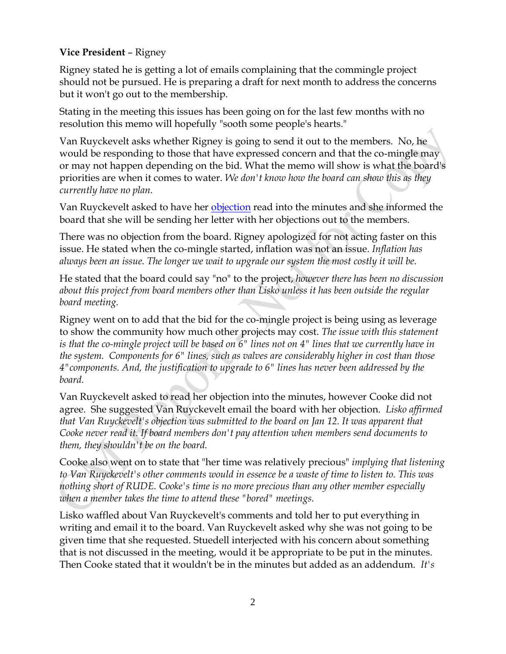## **Vice President** – Rigney

Rigney stated he is getting a lot of emails complaining that the commingle project should not be pursued. He is preparing a draft for next month to address the concerns but it won't go out to the membership.

Stating in the meeting this issues has been going on for the last few months with no resolution this memo will hopefully "sooth some people's hearts."

Van Ruyckevelt asks whether Rigney is going to send it out to the members. No, he would be responding to those that have expressed concern and that the co-mingle may or may not happen depending on the bid. What the memo will show is what the board's priorities are when it comes to water. *We don't know how the board can show this as they currently have no plan.*

Van Ruyckevelt asked to have her [objection](http://www.cmslppoa.org/pdf/BV%20Letter.pdf) read into the minutes and she informed the board that she will be sending her letter with her objections out to the members.

There was no objection from the board. Rigney apologized for not acting faster on this issue. He stated when the co-mingle started, inflation was not an issue. *Inflation has always been an issue. The longer we wait to upgrade our system the most costly it will be.*

He stated that the board could say "no" to the project, *however there has been no discussion about this project from board members other than Lisko unless it has been outside the regular board meeting.*

Rigney went on to add that the bid for the co-mingle project is being using as leverage to show the community how much other projects may cost. *The issue with this statement is that the co-mingle project will be based on 6" lines not on 4" lines that we currently have in the system. Components for 6" lines, such as valves are considerably higher in cost than those 4"components. And, the justification to upgrade to 6" lines has never been addressed by the board.* 

Van Ruyckevelt asked to read her objection into the minutes, however Cooke did not agree. She suggested Van Ruyckevelt email the board with her objection. *Lisko affirmed that Van Ruyckevelt's objection was submitted to the board on Jan 12. It was apparent that Cooke never read it. If board members don't pay attention when members send documents to them, they shouldn't be on the board.* 

Cooke also went on to state that "her time was relatively precious" *implying that listening to Van Ruyckevelt's other comments would in essence be a waste of time to listen to. This was nothing short of RUDE. Cooke's time is no more precious than any other member especially when a member takes the time to attend these "bored" meetings.*

Lisko waffled about Van Ruyckevelt's comments and told her to put everything in writing and email it to the board. Van Ruyckevelt asked why she was not going to be given time that she requested. Stuedell interjected with his concern about something that is not discussed in the meeting, would it be appropriate to be put in the minutes. Then Cooke stated that it wouldn't be in the minutes but added as an addendum. *It's*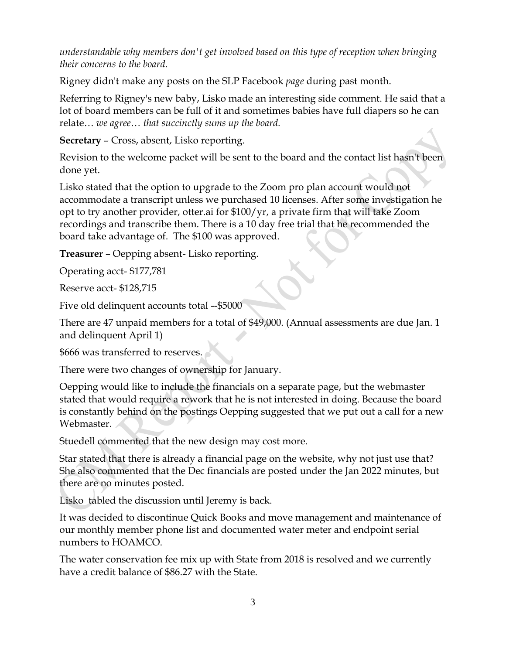*understandable why members don't get involved based on this type of reception when bringing their concerns to the board.* 

Rigney didn't make any posts on the SLP Facebook *page* during past month.

Referring to Rigney's new baby, Lisko made an interesting side comment. He said that a lot of board members can be full of it and sometimes babies have full diapers so he can relate… *we agree… that succinctly sums up the board.*

**Secretary** – Cross, absent, Lisko reporting.

Revision to the welcome packet will be sent to the board and the contact list hasn't been done yet.

Lisko stated that the option to upgrade to the Zoom pro plan account would not accommodate a transcript unless we purchased 10 licenses. After some investigation he opt to try another provider, otter.ai for \$100/yr, a private firm that will take Zoom recordings and transcribe them. There is a 10 day free trial that he recommended the board take advantage of. The \$100 was approved.

**Treasurer** – Oepping absent- Lisko reporting.

Operating acct- \$177,781

Reserve acct- \$128,715

Five old delinquent accounts total --\$5000

There are 47 unpaid members for a total of \$49,000. (Annual assessments are due Jan. 1 and delinquent April 1)

\$666 was transferred to reserves.

There were two changes of ownership for January.

Oepping would like to include the financials on a separate page, but the webmaster stated that would require a rework that he is not interested in doing. Because the board is constantly behind on the postings Oepping suggested that we put out a call for a new Webmaster.

Stuedell commented that the new design may cost more.

Star stated that there is already a financial page on the website, why not just use that? She also commented that the Dec financials are posted under the Jan 2022 minutes, but there are no minutes posted.

Lisko tabled the discussion until Jeremy is back.

It was decided to discontinue Quick Books and move management and maintenance of our monthly member phone list and documented water meter and endpoint serial numbers to HOAMCO.

The water conservation fee mix up with State from 2018 is resolved and we currently have a credit balance of \$86.27 with the State.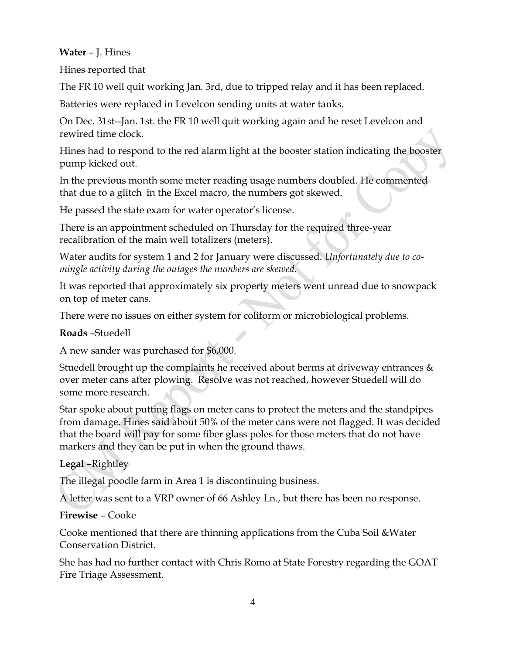#### **Water** – J. Hines

Hines reported that

The FR 10 well quit working Jan. 3rd, due to tripped relay and it has been replaced.

Batteries were replaced in Levelcon sending units at water tanks.

On Dec. 31st--Jan. 1st. the FR 10 well quit working again and he reset Levelcon and rewired time clock.

Hines had to respond to the red alarm light at the booster station indicating the booster pump kicked out.

In the previous month some meter reading usage numbers doubled. He commented that due to a glitch in the Excel macro, the numbers got skewed.

He passed the state exam for water operator's license.

There is an appointment scheduled on Thursday for the required three-year recalibration of the main well totalizers (meters).

Water audits for system 1 and 2 for January were discussed. *Unfortunately due to comingle activity during the outages the numbers are skewed.*

It was reported that approximately six property meters went unread due to snowpack on top of meter cans.

There were no issues on either system for coliform or microbiological problems.

# **Roads** –Stuedell

A new sander was purchased for \$6,000.

Stuedell brought up the complaints he received about berms at driveway entrances  $\&$ over meter cans after plowing. Resolve was not reached, however Stuedell will do some more research.

Star spoke about putting flags on meter cans to protect the meters and the standpipes from damage. Hines said about 50% of the meter cans were not flagged. It was decided that the board will pay for some fiber glass poles for those meters that do not have markers and they can be put in when the ground thaws.

# **Legal** –Rightley

The illegal poodle farm in Area 1 is discontinuing business.

A letter was sent to a VRP owner of 66 Ashley Ln., but there has been no response.

# **Firewise** – Cooke

Cooke mentioned that there are thinning applications from the Cuba Soil &Water Conservation District.

She has had no further contact with Chris Romo at State Forestry regarding the GOAT Fire Triage Assessment.